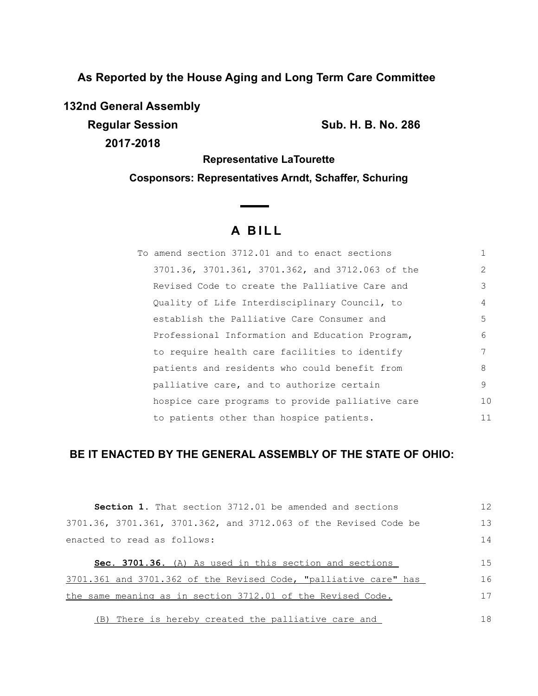**As Reported by the House Aging and Long Term Care Committee**

**132nd General Assembly**

**2017-2018**

**Regular Session Sub. H. B. No. 286**

**Representative LaTourette Cosponsors: Representatives Arndt, Schaffer, Schuring**

# **A B I L L**

| To amend section 3712.01 and to enact sections   |               |
|--------------------------------------------------|---------------|
| 3701.36, 3701.361, 3701.362, and 3712.063 of the | $\mathcal{L}$ |
| Revised Code to create the Palliative Care and   | 3             |
| Quality of Life Interdisciplinary Council, to    | 4             |
| establish the Palliative Care Consumer and       | 5             |
| Professional Information and Education Program,  | 6             |
| to require health care facilities to identify    |               |
| patients and residents who could benefit from    | 8             |
| palliative care, and to authorize certain        | 9             |
| hospice care programs to provide palliative care | 10            |
| to patients other than hospice patients.         | 11            |

## **BE IT ENACTED BY THE GENERAL ASSEMBLY OF THE STATE OF OHIO:**

| <b>Section 1.</b> That section 3712.01 be amended and sections   | 12 |
|------------------------------------------------------------------|----|
| 3701.36, 3701.361, 3701.362, and 3712.063 of the Revised Code be | 13 |
| enacted to read as follows:                                      | 14 |
| Sec. 3701.36. (A) As used in this section and sections           | 15 |
| 3701.361 and 3701.362 of the Revised Code, "palliative care" has | 16 |
| the same meaning as in section 3712.01 of the Revised Code.      | 17 |
| (B) There is hereby created the palliative care and              | 18 |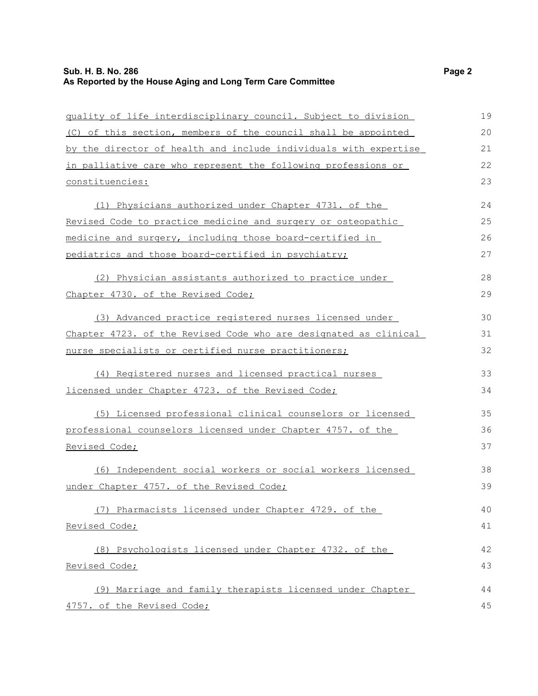## **Sub. H. B. No. 286 Page 2 As Reported by the House Aging and Long Term Care Committee**

| quality of life interdisciplinary council. Subject to division   | 19 |
|------------------------------------------------------------------|----|
| (C) of this section, members of the council shall be appointed   | 20 |
| by the director of health and include individuals with expertise | 21 |
| in palliative care who represent the following professions or    | 22 |
| constituencies:                                                  | 23 |
| (1) Physicians authorized under Chapter 4731. of the             | 24 |
| Revised Code to practice medicine and surgery or osteopathic     | 25 |
| medicine and surgery, including those board-certified in         | 26 |
| pediatrics and those board-certified in psychiatry;              | 27 |
| (2) Physician assistants authorized to practice under            | 28 |
| Chapter 4730. of the Revised Code;                               | 29 |
| (3) Advanced practice registered nurses licensed under           | 30 |
| Chapter 4723. of the Revised Code who are designated as clinical | 31 |
| nurse specialists or certified nurse practitioners;              | 32 |
| (4) Registered nurses and licensed practical nurses              | 33 |
| licensed under Chapter 4723. of the Revised Code;                | 34 |
| (5) Licensed professional clinical counselors or licensed        | 35 |
| professional counselors licensed under Chapter 4757. of the      | 36 |
| Revised Code;                                                    | 37 |
| (6) Independent social workers or social workers licensed        | 38 |
| under Chapter 4757. of the Revised Code;                         | 39 |
| (7) Pharmacists licensed under Chapter 4729. of the              | 40 |
| Revised Code;                                                    | 41 |
| (8) Psychologists licensed under Chapter 4732. of the            | 42 |
| Revised Code;                                                    | 43 |
| (9) Marriage and family therapists licensed under Chapter        | 44 |
| 4757. of the Revised Code;                                       | 45 |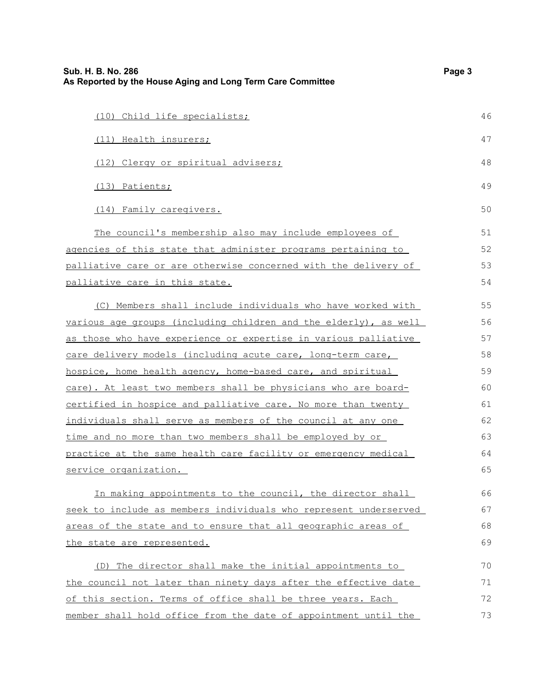| Sub. H. B. No. 286<br>As Reported by the House Aging and Long Term Care Committee | Page 3 |
|-----------------------------------------------------------------------------------|--------|
| (10) Child life specialists;                                                      | 46     |
| (11) Health insurers;                                                             | 47     |
| (12) Clergy or spiritual advisers;                                                | 48     |
| (13) Patients;                                                                    | 49     |
| (14) Family caregivers.                                                           | 50     |
| The council's membership also may include employees of                            | 51     |
| agencies of this state that administer programs pertaining to                     | 52     |
| palliative care or are otherwise concerned with the delivery of                   | 53     |
| palliative care in this state.                                                    | 54     |
| (C) Members shall include individuals who have worked with                        | 55     |
| various age groups (including children and the elderly), as well                  | 56     |
| as those who have experience or expertise in various palliative                   | 57     |
| care delivery models (including acute care, long-term care,                       | 58     |
| hospice, home health agency, home-based care, and spiritual                       | 59     |
| care). At least two members shall be physicians who are board-                    | 60     |
| certified in hospice and palliative care. No more than twenty                     | 61     |
| individuals shall serve as members of the council at any one                      | 62     |
| time and no more than two members shall be employed by or                         | 63     |
| practice at the same health care facility or emergency medical                    | 64     |
| service organization.                                                             | 65     |
| In making appointments to the council, the director shall                         | 66     |
| seek to include as members individuals who represent underserved                  | 67     |
| areas of the state and to ensure that all geographic areas of                     | 68     |
| the state are represented.                                                        | 69     |
| (D) The director shall make the initial appointments to                           | 70     |
| the council not later than ninety days after the effective date                   | 71     |
| of this section. Terms of office shall be three years. Each                       | 72     |
| member shall hold office from the date of appointment until the                   | 73     |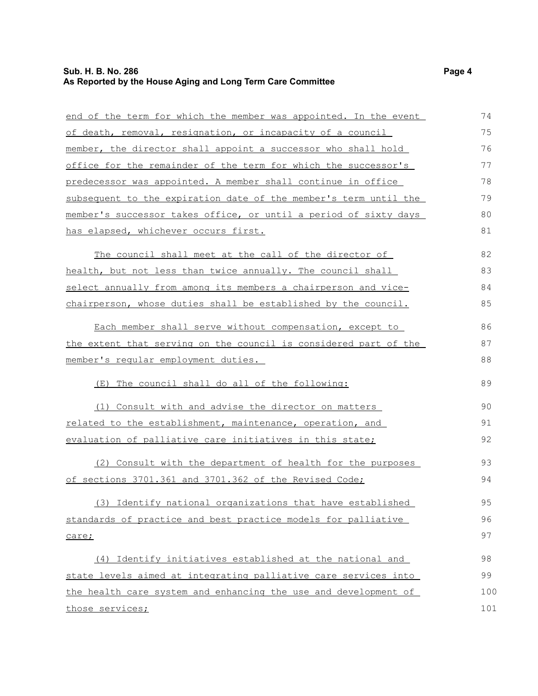#### **Sub. H. B. No. 286 Page 4 As Reported by the House Aging and Long Term Care Committee**

end of the term for which the member was appointed. In the event of death, removal, resignation, or incapacity of a council member, the director shall appoint a successor who shall hold office for the remainder of the term for which the successor's predecessor was appointed. A member shall continue in office subsequent to the expiration date of the member's term until the member's successor takes office, or until a period of sixty days has elapsed, whichever occurs first. The council shall meet at the call of the director of health, but not less than twice annually. The council shall select annually from among its members a chairperson and vicechairperson, whose duties shall be established by the council. Each member shall serve without compensation, except to the extent that serving on the council is considered part of the member's regular employment duties. (E) The council shall do all of the following: (1) Consult with and advise the director on matters related to the establishment, maintenance, operation, and evaluation of palliative care initiatives in this state; (2) Consult with the department of health for the purposes of sections 3701.361 and 3701.362 of the Revised Code; (3) Identify national organizations that have established standards of practice and best practice models for palliative care; (4) Identify initiatives established at the national and state levels aimed at integrating palliative care services into the health care system and enhancing the use and development of those services; 74 75 76 77 78 79 80 81 82 83 84 85 86 87 88 89 90 91 92 93 94 95 96 97 98 99 100 101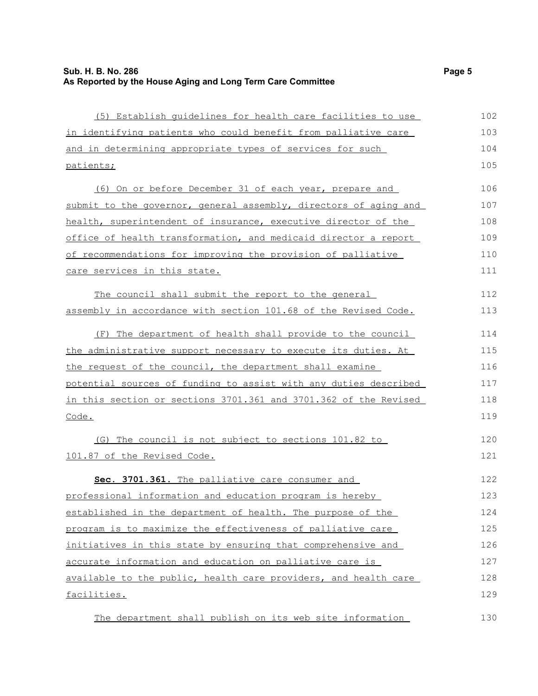| (5) Establish quidelines for health care facilities to use       | 102 |
|------------------------------------------------------------------|-----|
| in identifying patients who could benefit from palliative care   | 103 |
| and in determining appropriate types of services for such        | 104 |
| <u>patients;</u>                                                 | 105 |
| (6) On or before December 31 of each year, prepare and           | 106 |
| submit to the governor, general assembly, directors of aging and | 107 |
| health, superintendent of insurance, executive director of the   | 108 |
| office of health transformation, and medicaid director a report  | 109 |
| of recommendations for improving the provision of palliative     | 110 |
| care services in this state.                                     | 111 |
| The council shall submit the report to the general               | 112 |
| assembly in accordance with section 101.68 of the Revised Code.  | 113 |
| (F) The department of health shall provide to the council        | 114 |
| the administrative support necessary to execute its duties. At   | 115 |
| the request of the council, the department shall examine         | 116 |
| potential sources of funding to assist with any duties described | 117 |
| in this section or sections 3701.361 and 3701.362 of the Revised | 118 |
| Code.                                                            | 119 |
| (G) The council is not subject to sections 101.82 to             | 120 |
| 101.87 of the Revised Code.                                      | 121 |
| Sec. 3701.361. The palliative care consumer and                  | 122 |
| professional information and education program is hereby         | 123 |
| established in the department of health. The purpose of the      | 124 |
| program is to maximize the effectiveness of palliative care      | 125 |
| initiatives in this state by ensuring that comprehensive and     | 126 |
| accurate information and education on palliative care is         | 127 |
| available to the public, health care providers, and health care  | 128 |
| <u>facilities.</u>                                               | 129 |
|                                                                  |     |

The department shall publish on its web site information 130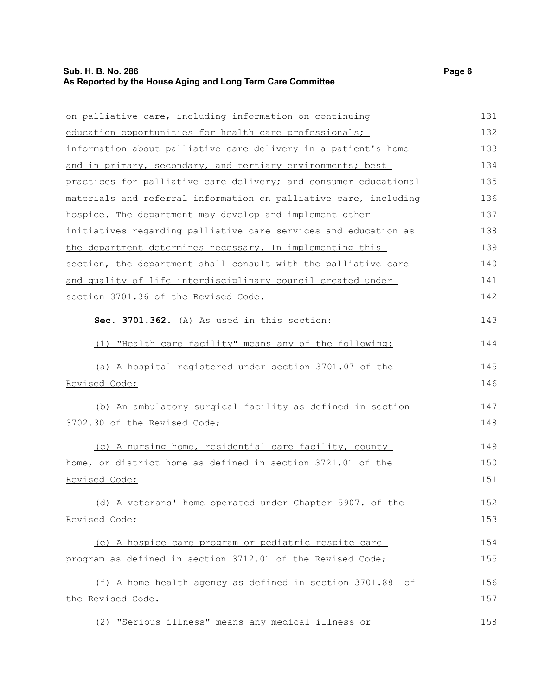## **Sub. H. B. No. 286 Page 6 As Reported by the House Aging and Long Term Care Committee**

| on palliative care, including information on continuing          | 131 |
|------------------------------------------------------------------|-----|
| education opportunities for health care professionals;           | 132 |
| information about palliative care delivery in a patient's home   | 133 |
| and in primary, secondary, and tertiary environments; best       | 134 |
| practices for palliative care delivery; and consumer educational | 135 |
| materials and referral information on palliative care, including | 136 |
| hospice. The department may develop and implement other          | 137 |
| initiatives regarding palliative care services and education as  | 138 |
| the department determines necessary. In implementing this        | 139 |
| section, the department shall consult with the palliative care   | 140 |
| and quality of life interdisciplinary council created under      | 141 |
| section 3701.36 of the Revised Code.                             | 142 |
| Sec. 3701.362. (A) As used in this section:                      | 143 |
| (1) "Health care facility" means any of the following:           | 144 |
| (a) A hospital registered under section 3701.07 of the           | 145 |
| Revised Code;                                                    | 146 |
| (b) An ambulatory surgical facility as defined in section        | 147 |
| 3702.30 of the Revised Code;                                     | 148 |
| (c) A nursing home, residential care facility, county            | 149 |
| home, or district home as defined in section 3721.01 of the      | 150 |
| Revised Code;                                                    | 151 |
| (d) A veterans' home operated under Chapter 5907. of the         | 152 |
| Revised Code;                                                    | 153 |
| (e) A hospice care program or pediatric respite care             | 154 |
| program as defined in section 3712.01 of the Revised Code;       | 155 |
| (f) A home health agency as defined in section 3701.881 of       | 156 |
| the Revised Code.                                                | 157 |
| (2) "Serious illness" means any medical illness or               | 158 |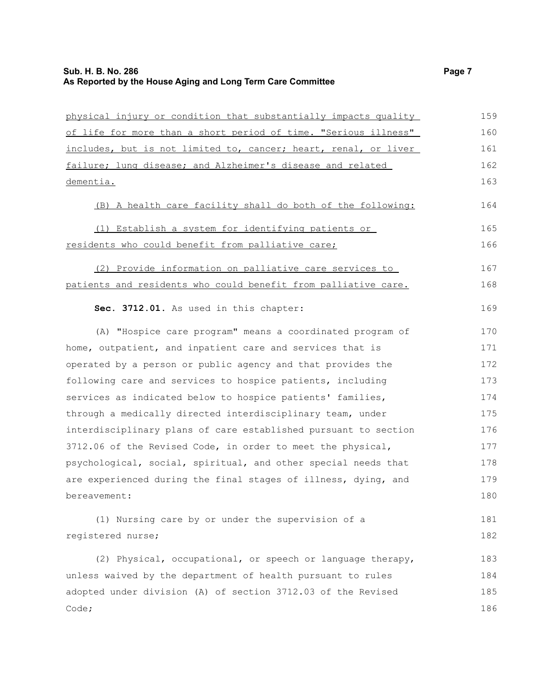| physical injury or condition that substantially impacts quality | 159 |
|-----------------------------------------------------------------|-----|
| of life for more than a short period of time. "Serious illness" | 160 |
| includes, but is not limited to, cancer; heart, renal, or liver | 161 |
| failure; lung disease; and Alzheimer's disease and related      | 162 |
| dementia.                                                       | 163 |
| (B) A health care facility shall do both of the following:      | 164 |
| (1) Establish a system for identifying patients or              | 165 |
| residents who could benefit from palliative care;               | 166 |
| (2) Provide information on palliative care services to          | 167 |
| patients and residents who could benefit from palliative care.  | 168 |
| Sec. 3712.01. As used in this chapter:                          | 169 |
| (A) "Hospice care program" means a coordinated program of       | 170 |
| home, outpatient, and inpatient care and services that is       | 171 |
| operated by a person or public agency and that provides the     | 172 |
| following care and services to hospice patients, including      | 173 |
| services as indicated below to hospice patients' families,      | 174 |
| through a medically directed interdisciplinary team, under      | 175 |
| interdisciplinary plans of care established pursuant to section | 176 |
| 3712.06 of the Revised Code, in order to meet the physical,     | 177 |
| psychological, social, spiritual, and other special needs that  | 178 |
| are experienced during the final stages of illness, dying, and  | 179 |
| bereavement:                                                    | 180 |
| (1) Nursing care by or under the supervision of a               | 181 |
| registered nurse;                                               | 182 |
| (2) Physical, occupational, or speech or language therapy,      | 183 |
| unless waived by the department of health pursuant to rules     | 184 |
| adopted under division (A) of section 3712.03 of the Revised    | 185 |
| Code;                                                           | 186 |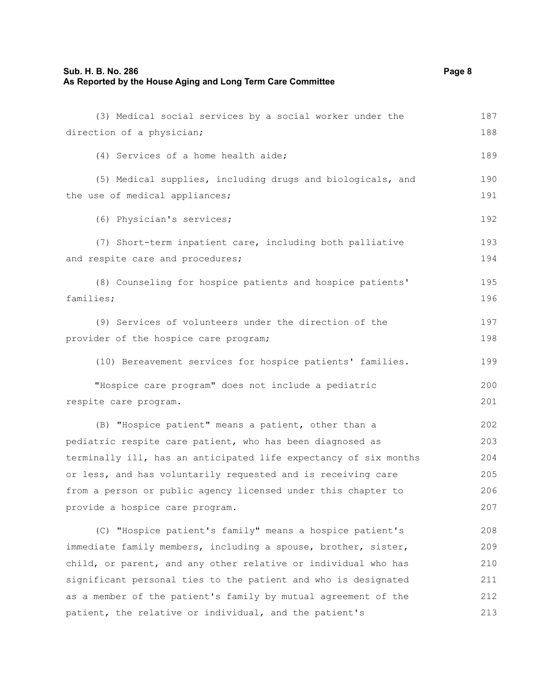#### **Sub. H. B. No. 286 Page 8 As Reported by the House Aging and Long Term Care Committee**

(3) Medical social services by a social worker under the

direction of a physician; (4) Services of a home health aide; (5) Medical supplies, including drugs and biologicals, and the use of medical appliances; (6) Physician's services; (7) Short-term inpatient care, including both palliative and respite care and procedures; (8) Counseling for hospice patients and hospice patients' families; (9) Services of volunteers under the direction of the provider of the hospice care program; (10) Bereavement services for hospice patients' families. "Hospice care program" does not include a pediatric respite care program. (B) "Hospice patient" means a patient, other than a pediatric respite care patient, who has been diagnosed as terminally ill, has an anticipated life expectancy of six months or less, and has voluntarily requested and is receiving care from a person or public agency licensed under this chapter to provide a hospice care program. (C) "Hospice patient's family" means a hospice patient's immediate family members, including a spouse, brother, sister, child, or parent, and any other relative or individual who has significant personal ties to the patient and who is designated as a member of the patient's family by mutual agreement of the 188 189 190 191 192 193 194 195 196 197 198 199 200 201 202 203 204 205 206 207 208 209 210 211 212

patient, the relative or individual, and the patient's

187

213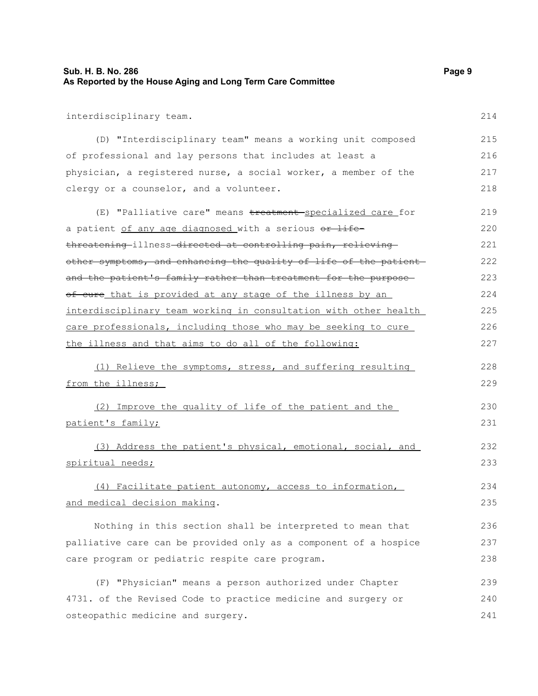| Sub. H. B. No. 286                                          | Page 9 |
|-------------------------------------------------------------|--------|
| As Reported by the House Aging and Long Term Care Committee |        |

interdisciplinary team.

| (D) "Interdisciplinary team" means a working unit composed       | 215 |
|------------------------------------------------------------------|-----|
| of professional and lay persons that includes at least a         | 216 |
| physician, a registered nurse, a social worker, a member of the  | 217 |
| clergy or a counselor, and a volunteer.                          | 218 |
|                                                                  |     |
| (E) "Palliative care" means treatment specialized care for       | 219 |
| a patient of any age diagnosed with a serious or life-           | 220 |
| threatening-illness-directed at controlling pain, relieving-     | 221 |
| other symptoms, and enhancing the quality of life of the patient | 222 |
| and the patient's family rather than treatment for the purpose-  | 223 |
| of cure that is provided at any stage of the illness by an       | 224 |
| interdisciplinary team working in consultation with other health | 225 |
| care professionals, including those who may be seeking to cure   | 226 |
| the illness and that aims to do all of the following:            | 227 |
|                                                                  |     |
| (1) Relieve the symptoms, stress, and suffering resulting        | 228 |
| from the illness;                                                | 229 |
| (2) Improve the quality of life of the patient and the           | 230 |
| patient's family;                                                | 231 |
|                                                                  |     |
| (3) Address the patient's physical, emotional, social, and       | 232 |
| spiritual needs;                                                 | 233 |
| (4) Facilitate patient autonomy, access to information,          | 234 |
| and medical decision making.                                     | 235 |
|                                                                  |     |
| Nothing in this section shall be interpreted to mean that        | 236 |
| palliative care can be provided only as a component of a hospice | 237 |
| care program or pediatric respite care program.                  | 238 |
| (F) "Physician" means a person authorized under Chapter          | 239 |
|                                                                  |     |
| 4731. of the Revised Code to practice medicine and surgery or    | 240 |
| osteopathic medicine and surgery.                                | 241 |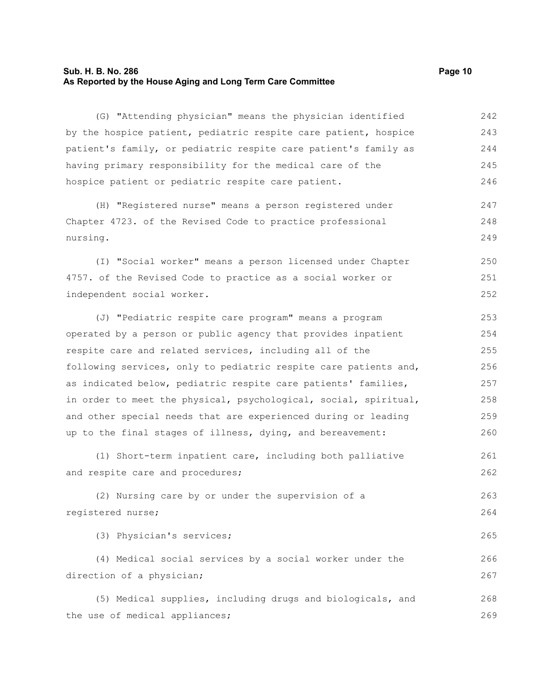#### **Sub. H. B. No. 286 Page 10 As Reported by the House Aging and Long Term Care Committee**

(G) "Attending physician" means the physician identified by the hospice patient, pediatric respite care patient, hospice patient's family, or pediatric respite care patient's family as having primary responsibility for the medical care of the hospice patient or pediatric respite care patient. (H) "Registered nurse" means a person registered under Chapter 4723. of the Revised Code to practice professional nursing. (I) "Social worker" means a person licensed under Chapter 4757. of the Revised Code to practice as a social worker or independent social worker. (J) "Pediatric respite care program" means a program operated by a person or public agency that provides inpatient respite care and related services, including all of the following services, only to pediatric respite care patients and, as indicated below, pediatric respite care patients' families, in order to meet the physical, psychological, social, spiritual, and other special needs that are experienced during or leading up to the final stages of illness, dying, and bereavement: (1) Short-term inpatient care, including both palliative and respite care and procedures; (2) Nursing care by or under the supervision of a registered nurse; (3) Physician's services; (4) Medical social services by a social worker under the direction of a physician; (5) Medical supplies, including drugs and biologicals, and the use of medical appliances; 242 243 244 245 246 247 248 249 250 251 252 253 254 255 256 257 258 259 260 261 262 263 264 265 266 267 268 269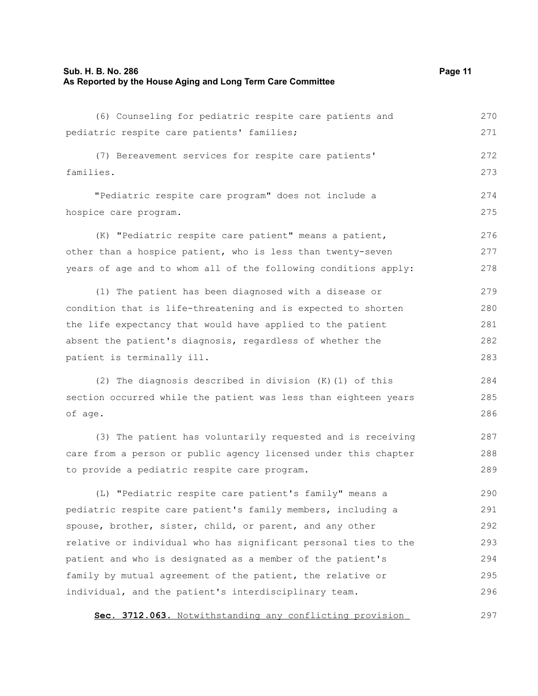## **Sub. H. B. No. 286 Page 11 As Reported by the House Aging and Long Term Care Committee**

| (6) Counseling for pediatric respite care patients and          | 270 |
|-----------------------------------------------------------------|-----|
| pediatric respite care patients' families;                      | 271 |
| (7) Bereavement services for respite care patients'             | 272 |
| families.                                                       | 273 |
| "Pediatric respite care program" does not include a             | 274 |
| hospice care program.                                           | 275 |
| (K) "Pediatric respite care patient" means a patient,           | 276 |
| other than a hospice patient, who is less than twenty-seven     | 277 |
| years of age and to whom all of the following conditions apply: | 278 |
| (1) The patient has been diagnosed with a disease or            | 279 |
| condition that is life-threatening and is expected to shorten   | 280 |
| the life expectancy that would have applied to the patient      | 281 |
| absent the patient's diagnosis, regardless of whether the       | 282 |
| patient is terminally ill.                                      | 283 |
| (2) The diagnosis described in division (K)(1) of this          | 284 |
| section occurred while the patient was less than eighteen years | 285 |
| of age.                                                         | 286 |
| (3) The patient has voluntarily requested and is receiving      | 287 |
| care from a person or public agency licensed under this chapter | 288 |
| to provide a pediatric respite care program.                    | 289 |
| (L) "Pediatric respite care patient's family" means a           | 290 |
| pediatric respite care patient's family members, including a    | 291 |
| spouse, brother, sister, child, or parent, and any other        | 292 |
| relative or individual who has significant personal ties to the | 293 |
| patient and who is designated as a member of the patient's      | 294 |
| family by mutual agreement of the patient, the relative or      | 295 |
| individual, and the patient's interdisciplinary team.           | 296 |
| Sec. 3712.063. Notwithstanding any conflicting provision        | 297 |